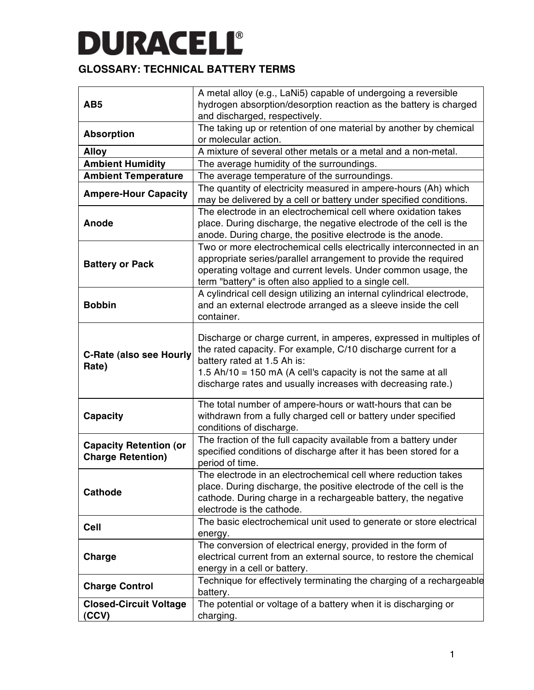#### **GLOSSARY: TECHNICAL BATTERY TERMS**

| AB <sub>5</sub>                                           | A metal alloy (e.g., LaNi5) capable of undergoing a reversible                                                                                                                                                                                                                                     |
|-----------------------------------------------------------|----------------------------------------------------------------------------------------------------------------------------------------------------------------------------------------------------------------------------------------------------------------------------------------------------|
|                                                           | hydrogen absorption/desorption reaction as the battery is charged                                                                                                                                                                                                                                  |
|                                                           | and discharged, respectively.<br>The taking up or retention of one material by another by chemical                                                                                                                                                                                                 |
| <b>Absorption</b>                                         | or molecular action.                                                                                                                                                                                                                                                                               |
| <b>Alloy</b>                                              | A mixture of several other metals or a metal and a non-metal.                                                                                                                                                                                                                                      |
| <b>Ambient Humidity</b>                                   | The average humidity of the surroundings.                                                                                                                                                                                                                                                          |
| <b>Ambient Temperature</b>                                | The average temperature of the surroundings.                                                                                                                                                                                                                                                       |
| <b>Ampere-Hour Capacity</b>                               | The quantity of electricity measured in ampere-hours (Ah) which<br>may be delivered by a cell or battery under specified conditions.                                                                                                                                                               |
| Anode                                                     | The electrode in an electrochemical cell where oxidation takes<br>place. During discharge, the negative electrode of the cell is the<br>anode. During charge, the positive electrode is the anode.                                                                                                 |
| <b>Battery or Pack</b>                                    | Two or more electrochemical cells electrically interconnected in an<br>appropriate series/parallel arrangement to provide the required<br>operating voltage and current levels. Under common usage, the<br>term "battery" is often also applied to a single cell.                                  |
| <b>Bobbin</b>                                             | A cylindrical cell design utilizing an internal cylindrical electrode,<br>and an external electrode arranged as a sleeve inside the cell<br>container.                                                                                                                                             |
| <b>C-Rate (also see Hourly</b><br>Rate)                   | Discharge or charge current, in amperes, expressed in multiples of<br>the rated capacity. For example, C/10 discharge current for a<br>battery rated at 1.5 Ah is:<br>1.5 Ah/10 = 150 mA (A cell's capacity is not the same at all<br>discharge rates and usually increases with decreasing rate.) |
| Capacity                                                  | The total number of ampere-hours or watt-hours that can be<br>withdrawn from a fully charged cell or battery under specified<br>conditions of discharge.                                                                                                                                           |
| <b>Capacity Retention (or</b><br><b>Charge Retention)</b> | The fraction of the full capacity available from a battery under<br>specified conditions of discharge after it has been stored for a<br>period of time.                                                                                                                                            |
| <b>Cathode</b>                                            | The electrode in an electrochemical cell where reduction takes<br>place. During discharge, the positive electrode of the cell is the<br>cathode. During charge in a rechargeable battery, the negative<br>electrode is the cathode.                                                                |
| <b>Cell</b>                                               | The basic electrochemical unit used to generate or store electrical<br>energy.                                                                                                                                                                                                                     |
| Charge                                                    | The conversion of electrical energy, provided in the form of<br>electrical current from an external source, to restore the chemical<br>energy in a cell or battery.                                                                                                                                |
| <b>Charge Control</b>                                     | Technique for effectively terminating the charging of a rechargeable<br>battery.                                                                                                                                                                                                                   |
| <b>Closed-Circuit Voltage</b><br>(CCV)                    | The potential or voltage of a battery when it is discharging or<br>charging.                                                                                                                                                                                                                       |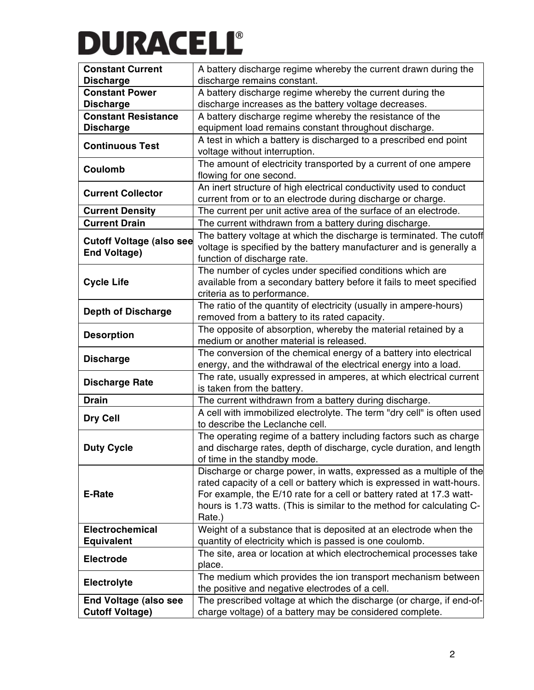| <b>Constant Current</b>         | A battery discharge regime whereby the current drawn during the        |
|---------------------------------|------------------------------------------------------------------------|
| <b>Discharge</b>                | discharge remains constant.                                            |
| <b>Constant Power</b>           | A battery discharge regime whereby the current during the              |
| <b>Discharge</b>                | discharge increases as the battery voltage decreases.                  |
| <b>Constant Resistance</b>      | A battery discharge regime whereby the resistance of the               |
| <b>Discharge</b>                | equipment load remains constant throughout discharge.                  |
| <b>Continuous Test</b>          | A test in which a battery is discharged to a prescribed end point      |
|                                 | voltage without interruption.                                          |
| Coulomb                         | The amount of electricity transported by a current of one ampere       |
|                                 | flowing for one second.                                                |
| <b>Current Collector</b>        | An inert structure of high electrical conductivity used to conduct     |
|                                 | current from or to an electrode during discharge or charge.            |
| <b>Current Density</b>          | The current per unit active area of the surface of an electrode.       |
| <b>Current Drain</b>            | The current withdrawn from a battery during discharge.                 |
|                                 | The battery voltage at which the discharge is terminated. The cutoff   |
| <b>Cutoff Voltage (also see</b> | voltage is specified by the battery manufacturer and is generally a    |
| <b>End Voltage)</b>             | function of discharge rate.                                            |
|                                 | The number of cycles under specified conditions which are              |
| <b>Cycle Life</b>               | available from a secondary battery before it fails to meet specified   |
|                                 | criteria as to performance.                                            |
|                                 | The ratio of the quantity of electricity (usually in ampere-hours)     |
| <b>Depth of Discharge</b>       | removed from a battery to its rated capacity.                          |
|                                 | The opposite of absorption, whereby the material retained by a         |
| <b>Desorption</b>               | medium or another material is released.                                |
| <b>Discharge</b>                | The conversion of the chemical energy of a battery into electrical     |
|                                 | energy, and the withdrawal of the electrical energy into a load.       |
|                                 | The rate, usually expressed in amperes, at which electrical current    |
| <b>Discharge Rate</b>           | is taken from the battery.                                             |
| <b>Drain</b>                    | The current withdrawn from a battery during discharge.                 |
|                                 | A cell with immobilized electrolyte. The term "dry cell" is often used |
| Dry Cell                        | to describe the Leclanche cell.                                        |
|                                 | The operating regime of a battery including factors such as charge     |
| <b>Duty Cycle</b>               | and discharge rates, depth of discharge, cycle duration, and length    |
|                                 | of time in the standby mode.                                           |
|                                 | Discharge or charge power, in watts, expressed as a multiple of the    |
|                                 | rated capacity of a cell or battery which is expressed in watt-hours.  |
| <b>E-Rate</b>                   | For example, the E/10 rate for a cell or battery rated at 17.3 watt-   |
|                                 | hours is 1.73 watts. (This is similar to the method for calculating C- |
|                                 | Rate.)                                                                 |
| <b>Electrochemical</b>          | Weight of a substance that is deposited at an electrode when the       |
| <b>Equivalent</b>               | quantity of electricity which is passed is one coulomb.                |
| <b>Electrode</b>                | The site, area or location at which electrochemical processes take     |
|                                 | place.                                                                 |
| <b>Electrolyte</b>              | The medium which provides the ion transport mechanism between          |
|                                 | the positive and negative electrodes of a cell.                        |
| <b>End Voltage (also see</b>    | The prescribed voltage at which the discharge (or charge, if end-of-   |
| <b>Cutoff Voltage)</b>          | charge voltage) of a battery may be considered complete.               |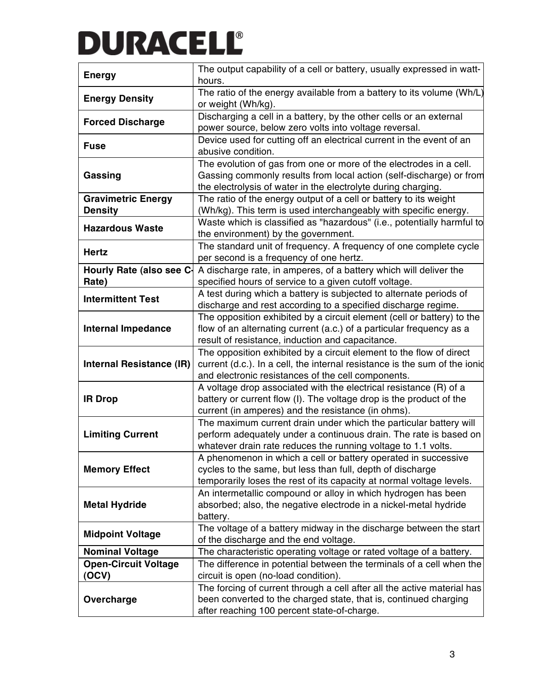| <b>Energy</b>                   | The output capability of a cell or battery, usually expressed in watt-                                                                |
|---------------------------------|---------------------------------------------------------------------------------------------------------------------------------------|
|                                 | hours.                                                                                                                                |
| <b>Energy Density</b>           | The ratio of the energy available from a battery to its volume (Wh/L)                                                                 |
|                                 | or weight (Wh/kg).                                                                                                                    |
| <b>Forced Discharge</b>         | Discharging a cell in a battery, by the other cells or an external                                                                    |
|                                 | power source, below zero volts into voltage reversal.                                                                                 |
| <b>Fuse</b>                     | Device used for cutting off an electrical current in the event of an                                                                  |
|                                 | abusive condition.                                                                                                                    |
|                                 | The evolution of gas from one or more of the electrodes in a cell.                                                                    |
| Gassing                         | Gassing commonly results from local action (self-discharge) or from                                                                   |
|                                 | the electrolysis of water in the electrolyte during charging.                                                                         |
| <b>Gravimetric Energy</b>       | The ratio of the energy output of a cell or battery to its weight                                                                     |
| <b>Density</b>                  | (Wh/kg). This term is used interchangeably with specific energy.                                                                      |
| <b>Hazardous Waste</b>          | Waste which is classified as "hazardous" (i.e., potentially harmful to                                                                |
|                                 | the environment) by the government.                                                                                                   |
| <b>Hertz</b>                    | The standard unit of frequency. A frequency of one complete cycle                                                                     |
|                                 | per second is a frequency of one hertz.                                                                                               |
| Hourly Rate (also see C-        | A discharge rate, in amperes, of a battery which will deliver the                                                                     |
| Rate)                           | specified hours of service to a given cutoff voltage.                                                                                 |
| <b>Intermittent Test</b>        | A test during which a battery is subjected to alternate periods of                                                                    |
|                                 | discharge and rest according to a specified discharge regime.                                                                         |
|                                 | The opposition exhibited by a circuit element (cell or battery) to the                                                                |
| <b>Internal Impedance</b>       | flow of an alternating current (a.c.) of a particular frequency as a                                                                  |
|                                 | result of resistance, induction and capacitance.                                                                                      |
|                                 | The opposition exhibited by a circuit element to the flow of direct                                                                   |
| <b>Internal Resistance (IR)</b> | current (d.c.). In a cell, the internal resistance is the sum of the ionid                                                            |
|                                 | and electronic resistances of the cell components.                                                                                    |
|                                 | A voltage drop associated with the electrical resistance (R) of a                                                                     |
| <b>IR Drop</b>                  | battery or current flow (I). The voltage drop is the product of the                                                                   |
|                                 | current (in amperes) and the resistance (in ohms).                                                                                    |
|                                 | The maximum current drain under which the particular battery will                                                                     |
| <b>Limiting Current</b>         | perform adequately under a continuous drain. The rate is based on                                                                     |
|                                 | whatever drain rate reduces the running voltage to 1.1 volts.                                                                         |
|                                 | A phenomenon in which a cell or battery operated in successive                                                                        |
| <b>Memory Effect</b>            | cycles to the same, but less than full, depth of discharge                                                                            |
|                                 | temporarily loses the rest of its capacity at normal voltage levels.<br>An intermetallic compound or alloy in which hydrogen has been |
| <b>Metal Hydride</b>            | absorbed; also, the negative electrode in a nickel-metal hydride                                                                      |
|                                 | battery.                                                                                                                              |
|                                 | The voltage of a battery midway in the discharge between the start                                                                    |
| <b>Midpoint Voltage</b>         | of the discharge and the end voltage.                                                                                                 |
| <b>Nominal Voltage</b>          | The characteristic operating voltage or rated voltage of a battery.                                                                   |
| <b>Open-Circuit Voltage</b>     | The difference in potential between the terminals of a cell when the                                                                  |
| (OCV)                           | circuit is open (no-load condition).                                                                                                  |
| Overcharge                      | The forcing of current through a cell after all the active material has                                                               |
|                                 | been converted to the charged state, that is, continued charging                                                                      |
|                                 | after reaching 100 percent state-of-charge.                                                                                           |
|                                 |                                                                                                                                       |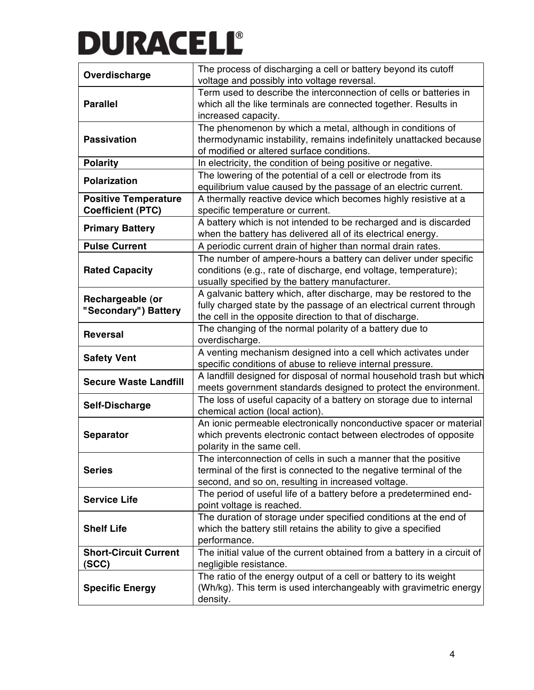|                              | The process of discharging a cell or battery beyond its cutoff           |
|------------------------------|--------------------------------------------------------------------------|
| Overdischarge                | voltage and possibly into voltage reversal.                              |
|                              | Term used to describe the interconnection of cells or batteries in       |
| <b>Parallel</b>              | which all the like terminals are connected together. Results in          |
|                              | increased capacity.                                                      |
|                              | The phenomenon by which a metal, although in conditions of               |
| <b>Passivation</b>           | thermodynamic instability, remains indefinitely unattacked because       |
|                              | of modified or altered surface conditions.                               |
| <b>Polarity</b>              | In electricity, the condition of being positive or negative.             |
|                              | The lowering of the potential of a cell or electrode from its            |
| <b>Polarization</b>          | equilibrium value caused by the passage of an electric current.          |
| <b>Positive Temperature</b>  | A thermally reactive device which becomes highly resistive at a          |
| <b>Coefficient (PTC)</b>     | specific temperature or current.                                         |
|                              | A battery which is not intended to be recharged and is discarded         |
| <b>Primary Battery</b>       | when the battery has delivered all of its electrical energy.             |
| <b>Pulse Current</b>         | A periodic current drain of higher than normal drain rates.              |
|                              | The number of ampere-hours a battery can deliver under specific          |
| <b>Rated Capacity</b>        | conditions (e.g., rate of discharge, end voltage, temperature);          |
|                              | usually specified by the battery manufacturer.                           |
|                              | A galvanic battery which, after discharge, may be restored to the        |
| Rechargeable (or             | fully charged state by the passage of an electrical current through      |
| "Secondary") Battery         | the cell in the opposite direction to that of discharge.                 |
|                              | The changing of the normal polarity of a battery due to                  |
| <b>Reversal</b>              | overdischarge.                                                           |
| <b>Safety Vent</b>           | A venting mechanism designed into a cell which activates under           |
|                              | specific conditions of abuse to relieve internal pressure.               |
| <b>Secure Waste Landfill</b> | A landfill designed for disposal of normal household trash but which     |
|                              | meets government standards designed to protect the environment.          |
| Self-Discharge               | The loss of useful capacity of a battery on storage due to internal      |
|                              | chemical action (local action).                                          |
|                              | An ionic permeable electronically nonconductive spacer or material       |
| <b>Separator</b>             | which prevents electronic contact between electrodes of opposite         |
|                              | polarity in the same cell.                                               |
| <b>Series</b>                | The interconnection of cells in such a manner that the positive          |
|                              | terminal of the first is connected to the negative terminal of the       |
|                              | second, and so on, resulting in increased voltage.                       |
| <b>Service Life</b>          | The period of useful life of a battery before a predetermined end-       |
|                              | point voltage is reached.                                                |
| <b>Shelf Life</b>            | The duration of storage under specified conditions at the end of         |
|                              | which the battery still retains the ability to give a specified          |
|                              | performance.                                                             |
| <b>Short-Circuit Current</b> | The initial value of the current obtained from a battery in a circuit of |
| (SCC)                        | negligible resistance.                                                   |
| <b>Specific Energy</b>       | The ratio of the energy output of a cell or battery to its weight        |
|                              | (Wh/kg). This term is used interchangeably with gravimetric energy       |
|                              | density.                                                                 |